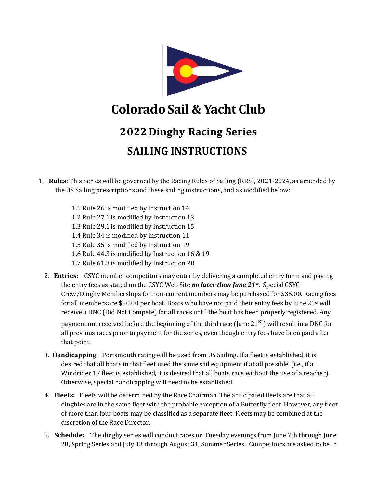

## **ColoradoSail & Yacht Club**

## **2022 Dinghy Racing Series SAILING INSTRUCTIONS**

- 1. **Rules:** This Series will be governed by the Racing Rules of Sailing (RRS), 2021-2024, as amended by the US Sailing prescriptions and these sailing instructions, and as modified below:
	- 1.1 Rule 26 is modified by Instruction 14
	- 1.2 Rule 27.1 is modified by Instruction 13
	- 1.3 Rule 29.1 is modified by Instruction 15
	- 1.4 Rule 34 is modified by Instruction 11
	- 1.5 Rule 35 is modified by Instruction 19
	- 1.6 Rule 44.3 is modified by Instruction 16 & 19
	- 1.7 Rule 61.3 is modified by Instruction 20
	- 2. **Entries:** CSYC member competitors may enter by delivering a completed entry form and paying the entry fees as stated on the CSYC Web Site *no later than June 21st .* Special CSYC Crew/Dinghy Memberships for non-current members may be purchased for \$35.00. Racing fees for all members are \$50.00 per boat. Boats who have not paid their entry fees by June  $21<sup>st</sup>$  will receive a DNC (Did Not Compete) for all races until the boat has been properly registered. Any

payment not received before the beginning of the third race (June 21 $^{\rm st}$ ) will result in a DNC for all previous races prior to payment for the series, even though entry fees have been paid after that point.

- 3. **Handicapping:** Portsmouth rating will be used from US Sailing. If a fleet is established, it is desired that all boats in that fleet used the same sail equipment if at all possible. (i.e., if a Windrider 17 fleet is established, it is desired that all boats race without the use of a reacher). Otherwise, special handicapping will need to be established.
- 4. **Fleets:** Fleets will be determined by the Race Chairman. The anticipated fleets are that all dinghies are in the same fleet with the probable exception of a Butterfly fleet. However, any fleet of more than four boats may be classified as a separate fleet. Fleets may be combined at the discretion of the Race Director.
- 5. **Schedule:** The dinghy series will conduct races on Tuesday evenings from June 7th through June 28, Spring Series and July 13 through August 31, Summer Series. Competitors are asked to be in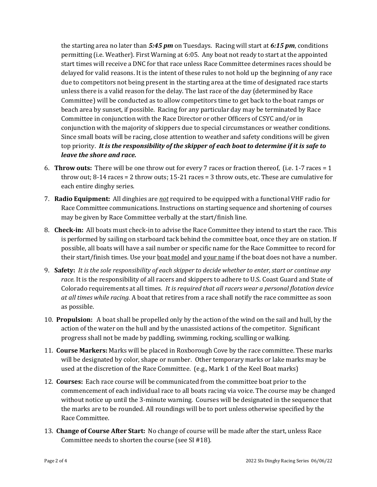the starting area no later than *5:45 pm* on Tuesdays. Racing will start at *6:15 pm*, conditions permitting (i.e. Weather). First Warning at 6:05. Any boat not ready to start at the appointed start times will receive a DNC for that race unless Race Committee determines races should be delayed for valid reasons. It is the intent of these rules to not hold up the beginning of any race due to competitors not being present in the starting area at the time of designated race starts unless there is a valid reason for the delay. The last race of the day (determined by Race Committee) will be conducted as to allow competitors time to get back to the boat ramps or beach area by sunset, if possible. Racing for any particular day may be terminated by Race Committee in conjunction with the Race Director or other Officers of CSYC and/or in conjunction with the majority of skippers due to special circumstances or weather conditions. Since small boats will be racing, close attention to weather and safety conditions will be given top priority. *It is the responsibility of the skipper of each boat to determine if it is safe to leave the shore and race.*

- 6. **Throw outs:** There will be one throw out for every 7 races or fraction thereof, (i.e. 1-7 races = 1 throw out; 8-14 races = 2 throw outs; 15-21 races = 3 throw outs, etc. These are cumulative for each entire dinghy series.
- 7. **Radio Equipment:** All dinghies are *not* required to be equipped with a functional VHF radio for Race Committee communications. Instructions on starting sequence and shortening of courses may be given by Race Committee verbally at the start/finish line.
- 8. **Check-in:** All boats must check-in to advise the Race Committee they intend to start the race. This is performed by sailing on starboard tack behind the committee boat, once they are on station. If possible, all boats will have a sail number or specific name for the Race Committee to record for their start/finish times. Use your boat model and your name if the boat does not have a number.
- 9. **Safety:** *It is the sole responsibility of each skipper to decide whether to enter, start or continue any race.* It is the responsibility of all racers and skippers to adhere to U.S. Coast Guard and State of Colorado requirements at all times. *It is required that all racers wear a personal flotation device at all times while racing.* A boat that retires from a race shall notify the race committee as soon as possible.
- 10. **Propulsion:** A boat shall be propelled only by the action of the wind on the sail and hull, by the action of the water on the hull and by the unassisted actions of the competitor. Significant progress shall not be made by paddling, swimming, rocking, sculling or walking.
- 11. **Course Markers:** Marks will be placed in Roxborough Cove by the race committee. These marks will be designated by color, shape or number. Other temporary marks or lake marks may be used at the discretion of the Race Committee. (e.g., Mark 1 of the Keel Boat marks)
- 12. **Courses:** Each race course will be communicated from the committee boat prior to the commencement of each individual race to all boats racing via voice. The course may be changed without notice up until the 3-minute warning. Courses will be designated in the sequence that the marks are to be rounded. All roundings will be to port unless otherwise specified by the Race Committee.
- 13. **Change of Course After Start:** No change of course will be made after the start, unless Race Committee needs to shorten the course (see SI #18).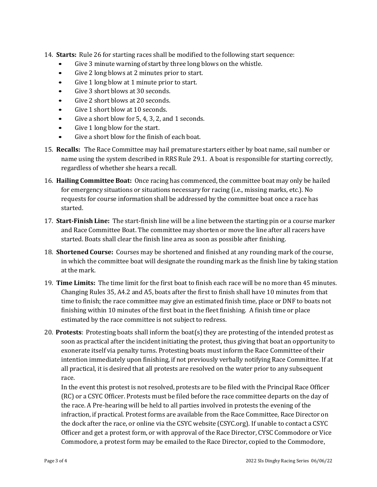- 14. **Starts:** Rule 26 for starting races shall be modified to the following start sequence:
	- Give 3 minute warning of start by three long blows on the whistle.
	- Give 2 long blows at 2 minutes prior to start.
	- Give 1 long blow at 1 minute prior to start.
	- Give 3 short blows at 30 seconds.
	- Give 2 short blows at 20 seconds.
	- Give 1 short blow at 10 seconds.
	- Give a short blow for 5, 4, 3, 2, and 1 seconds.
	- Give 1 long blow for the start.
	- Give a short blow for the finish of each boat.
- 15. **Recalls:** The Race Committee may hail premature starters either by boat name, sail number or name using the system described in RRS Rule 29.1. A boat is responsible for starting correctly, regardless of whether she hears a recall.
- 16. **Hailing Committee Boat:** Once racing has commenced, the committee boat may only be hailed for emergency situations or situations necessary for racing (i.e., missing marks, etc.). No requests for course information shall be addressed by the committee boat once a race has started.
- 17. **Start-Finish Line:** The start-finish line will be a line between the starting pin or a course marker and Race Committee Boat. The committee may shorten or move the line after all racers have started. Boats shall clear the finish line area as soon as possible after finishing.
- 18. **Shortened Course:** Courses may be shortened and finished at any rounding mark of the course, in which the committee boat will designate the rounding mark as the finish line by taking station at the mark.
- 19. **Time Limits:** The time limit for the first boat to finish each race will be no more than 45 minutes. Changing Rules 35, A4.2 and A5, boats after the first to finish shall have 10 minutes from that time to finish; the race committee may give an estimated finish time, place or DNF to boats not finishing within 10 minutes of the first boat in the fleet finishing. A finish time or place estimated by the race committee is not subject to redress.
- 20. **Protests**: Protesting boats shall inform the boat(s) they are protesting of the intended protest as soon as practical after the incident initiating the protest, thus giving that boat an opportunity to exonerate itself via penalty turns. Protesting boats must inform the Race Committee of their intention immediately upon finishing, if not previously verbally notifying Race Committee. If at all practical, it is desired that all protests are resolved on the water prior to any subsequent race.

In the event this protest is not resolved, protests are to be filed with the Principal Race Officer (RC) or a CSYC Officer. Protests must be filed before the race committee departs on the day of the race. A Pre-hearing will be held to all parties involved in protests the evening of the infraction, if practical. Protest forms are available from the Race Committee, Race Director on the dock after the race, or online via the CSYC website (CSYC.org). If unable to contact a CSYC Officer and get a protest form, or with approval of the Race Director, CYSC Commodore or Vice Commodore, a protest form may be emailed to the Race Director, copied to the Commodore,